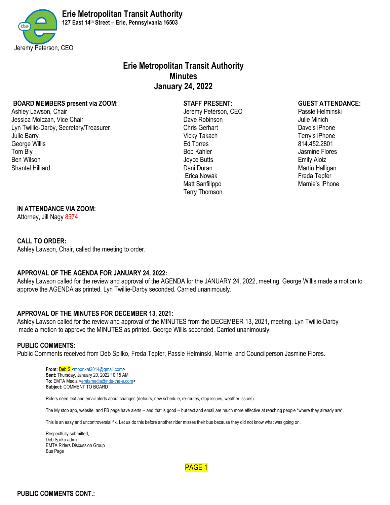

# **Erie Metropolitan Transit Authority Minutes January 24, 2022**

#### **BOARD MEMBERS present via ZOOM: STAFF PRESENT: GUEST ATTENDANCE:**

Ashley Lawson, Chair Jeremy Peterson, CEO Passle Helminski Jessica Molczan, Vice Chair Dave Robinson Julie Minich Lyn Twillie-Darby, Secretary/Treasurer Chris Gerhart Dave's iPhone Julie Barry Vicky Takach Terry's iPhone George Willis **Ed Torres** Ed Torres **Ed Torres** 814.452.2801 Tom Bly **Bob Kahler** Geography Bob Kahler **Geography** Bob Kahler All assessment Bores Ben Wilson **Emily Aloiz** Shantel Hilliard **Martin Halligan** Dani Duran Dani Duran Martin Halligan Martin Halligan

 Erica Nowak Freda Tepfer Matt Sanfilippo **Matt Sanfilippo** Marnie's iPhone Terry Thomson

#### **IN ATTENDANCE VIA ZOOM:**

Attorney, Jill Nagy 8574

#### **CALL TO ORDER:**

Ashley Lawson, Chair, called the meeting to order.

#### **APPROVAL OF THE AGENDA FOR JANUARY 24, 2022:**

Ashley Lawson called for the review and approval of the AGENDA for the JANUARY 24, 2022, meeting. George Willis made a motion to approve the AGENDA as printed. Lyn Twillie-Darby seconded. Carried unanimously.

#### **APPROVAL OF THE MINUTES FOR DECEMBER 13, 2021:**

Ashley Lawson called for the review and approval of the MINUTES from the DECEMBER 13, 2021, meeting. Lyn Twillie-Darby made a motion to approve the MINUTES as printed. George Willis seconded. Carried unanimously.

#### **PUBLIC COMMENTS:**

Public Comments received from Deb Spilko, Freda Tepfer, Passle Helminski, Marnie, and Councilperson Jasmine Flores.

From: **Deb S** [<moonkat2014@gmail.com>](mailto:moonkat2014@gmail.com) **Sent:** Thursday, January 20, 2022 10:15 AM To: EMTA Media [<emtamedia@ride-the-e.com>](mailto:emtamedia@ride-the-e.com) **Subject:** COMMENT TO BOARD

Riders need text and email alerts about changes (detours, new schedule, re-routes, stop issues, weather issues).

The My stop app, website, and FB page have alerts -- and that is good -- but text and email are much more effective at reaching people \*where they already are\*.

This is an easy and uncontroversial fix. Let us do this before another rider misses their bus because they did not know what was going on.

Respectfully submitted, Deb Spilko admin EMTA Riders Discussion Group Bus Page

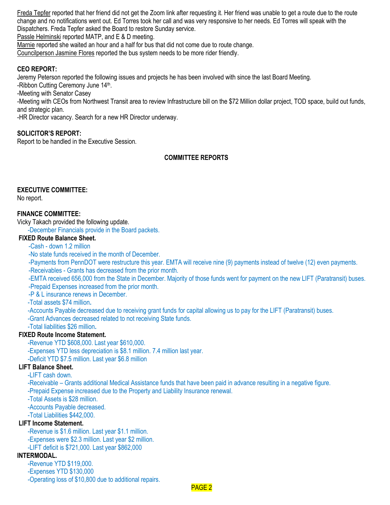Freda Tepfer reported that her friend did not get the Zoom link after requesting it. Her friend was unable to get a route due to the route change and no notifications went out. Ed Torres took her call and was very responsive to her needs. Ed Torres will speak with the Dispatchers. Freda Tepfer asked the Board to restore Sunday service.

Passle Helminski reported MATP, and E & D meeting.

Marnie reported she waited an hour and a half for bus that did not come due to route change.

Councilperson Jasmine Flores reported the bus system needs to be more rider friendly.

#### **CEO REPORT:**

Jeremy Peterson reported the following issues and projects he has been involved with since the last Board Meeting.

-Ribbon Cutting Ceremony June 14<sup>th</sup>.

-Meeting with Senator Casey

-Meeting with CEOs from Northwest Transit area to review Infrastructure bill on the \$72 Million dollar project, TOD space, build out funds, and strategic plan.

-HR Director vacancy. Search for a new HR Director underway.

#### **SOLICITOR'S REPORT:**

Report to be handled in the Executive Session.

#### **COMMITTEE REPORTS**

#### **EXECUTIVE COMMITTEE:**

No report.

#### **FINANCE COMMITTEE:**

Vicky Takach provided the following update.

-December Financials provide in the Board packets.

#### **FIXED Route Balance Sheet.**

-Cash - down 1.2 million

-No state funds received in the month of December.

-Payments from PennDOT were restructure this year. EMTA will receive nine (9) payments instead of twelve (12) even payments. -Receivables - Grants has decreased from the prior month.

-EMTA received 656,000 from the State in December. Majority of those funds went for payment on the new LIFT (Paratransit) buses.

-Prepaid Expenses increased from the prior month.

-P & L insurance renews in December.

-Total assets \$74 million**.**

-Accounts Payable decreased due to receiving grant funds for capital allowing us to pay for the LIFT (Paratransit) buses.

-Grant Advances decreased related to not receiving State funds.

# -Total liabilities \$26 million**.**

## **FIXED Route Income Statement.**

-Revenue YTD \$608,000. Last year \$610,000. -Expenses YTD less depreciation is \$8.1 million. 7.4 million last year. -Deficit YTD \$7.5 million. Last year \$6.8 million

#### **LIFT Balance Sheet.**

-LIFT cash down.

-Receivable – Grants additional Medical Assistance funds that have been paid in advance resulting in a negative figure. -Prepaid Expense increased due to the Property and Liability Insurance renewal.

-Total Assets is \$28 million.

-Accounts Payable decreased.

-Total Liabilities \$442,000.

#### **LIFT Income Statement.**

-Revenue is \$1.6 million. Last year \$1.1 million. -Expenses were \$2.3 million. Last year \$2 million. -LIFT deficit is \$721,000. Last year \$862,000

#### **INTERMODAL.**

-Revenue YTD \$119,000. -Expenses YTD \$130,000 -Operating loss of \$10,800 due to additional repairs.